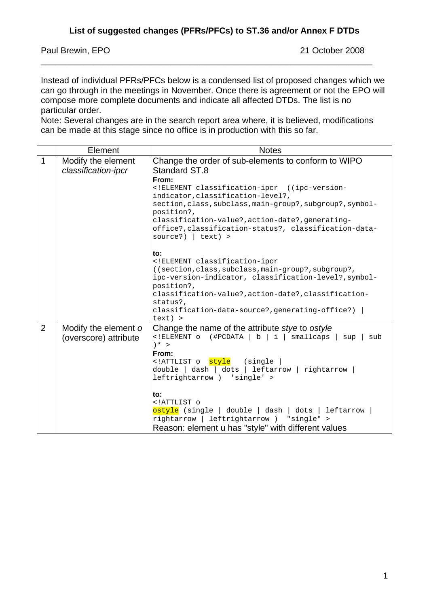Paul Brewin, EPO 21 October 2008

Instead of individual PFRs/PFCs below is a condensed list of proposed changes which we can go through in the meetings in November. Once there is agreement or not the EPO will compose more complete documents and indicate all affected DTDs. The list is no particular order.

\_\_\_\_\_\_\_\_\_\_\_\_\_\_\_\_\_\_\_\_\_\_\_\_\_\_\_\_\_\_\_\_\_\_\_\_\_\_\_\_\_\_\_\_\_\_\_\_\_\_\_\_\_\_\_\_\_\_\_\_\_\_\_\_\_\_\_\_\_

Note: Several changes are in the search report area where, it is believed, modifications can be made at this stage since no office is in production with this so far.

|              | Element               | <b>Notes</b>                                                                                                 |
|--------------|-----------------------|--------------------------------------------------------------------------------------------------------------|
| $\mathbf{1}$ | Modify the element    | Change the order of sub-elements to conform to WIPO                                                          |
|              | classification-ipcr   | Standard ST.8<br>From:                                                                                       |
|              |                       | ELEMENT classification-ipcr ((ipc-version-</th                                                               |
|              |                       | indicator, classification-level?,                                                                            |
|              |                       | section, class, subclass, main-group?, subgroup?, symbol-<br>position?,                                      |
|              |                       | classification-value?, action-date?, generating-                                                             |
|              |                       | office?, classification-status?, classification-data-<br>source?) $ $ text) >                                |
|              |                       | to:                                                                                                          |
|              |                       | ELEMENT classification-ipcr</th                                                                              |
|              |                       | ((section, class, subclass, main-group?, subgroup?,<br>ipc-version-indicator, classification-level?, symbol- |
|              |                       | position?,                                                                                                   |
|              |                       | classification-value?, action-date?, classification-                                                         |
|              |                       | status?,<br>classification-data-source?, generating-office?)                                                 |
|              |                       | $text)$ >                                                                                                    |
| 2            | Modify the element o  | Change the name of the attribute stye to ostyle                                                              |
|              | (overscore) attribute | ELEMENT o (#PCDATA   b   i   smallcaps   sup<br sub<br>$*$ >                                                 |
|              |                       | From:                                                                                                        |
|              |                       | ATTLIST o style (single</th                                                                                  |
|              |                       | double   dash   dots   leftarrow   rightarrow<br>leftrightarrow ) 'single' >                                 |
|              |                       |                                                                                                              |
|              |                       | to:                                                                                                          |
|              |                       | ATTLIST o<br ostyle (single   double   dash   dots   leftarrow                                               |
|              |                       | rightarrow   leftrightarrow ) "single" >                                                                     |
|              |                       | Reason: element u has "style" with different values                                                          |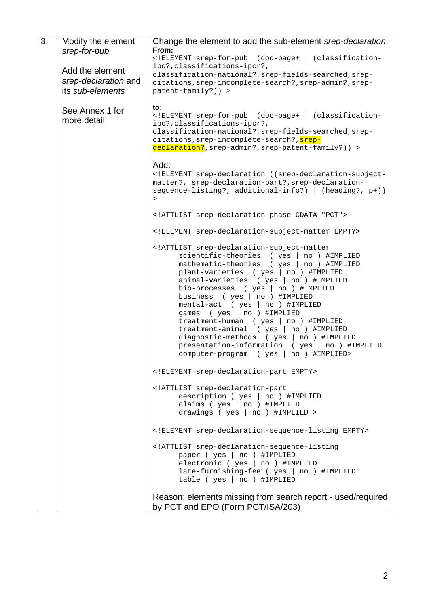| 3 | Modify the element   | Change the element to add the sub-element srep-declaration                                                      |
|---|----------------------|-----------------------------------------------------------------------------------------------------------------|
|   | srep-for-pub         | From:<br>ELEMENT srep-for-pub (doc-page+   (classification-</th                                                 |
|   | Add the element      | ipc?, classifications-ipcr?,                                                                                    |
|   | srep-declaration and | classification-national?, srep-fields-searched, srep-<br>citations, srep-incomplete-search?, srep-admin?, srep- |
|   | its sub-elements     | patent-family?)) >                                                                                              |
|   |                      |                                                                                                                 |
|   | See Annex 1 for      | to:<br>ELEMENT srep-for-pub (doc-page+   (classification-</th                                                   |
|   | more detail          | ipc?, classifications-ipcr?,                                                                                    |
|   |                      | classification-national?, srep-fields-searched, srep-<br>citations, srep-incomplete-search?, srep-              |
|   |                      | declaration?, srep-admin?, srep-patent-family?) ) >                                                             |
|   |                      | Add:                                                                                                            |
|   |                      | ELEMENT srep-declaration ((srep-declaration-subject-</th                                                        |
|   |                      | matter?, srep-declaration-part?, srep-declaration-<br>sequence-listing?, additional-info?) $ $ (heading?, p+))  |
|   |                      | $\geq$                                                                                                          |
|   |                      | ATTLIST srep-declaration phase CDATA "PCT"                                                                      |
|   |                      | ELEMENT srep-declaration-subject-matter EMPTY                                                                   |
|   |                      | ATTLIST srep-declaration-subject-matter</th                                                                     |
|   |                      | scientific-theories (yes<br>no ) #IMPLIED<br>mathematic-theories (yes<br>no ) #IMPLIED                          |
|   |                      | plant-varieties ( yes   no ) #IMPLIED                                                                           |
|   |                      | animal-varieties ( yes   no ) #IMPLIED<br>bio-processes ( $yes \mid no$ ) #IMPLIED                              |
|   |                      | business ( yes   no ) #IMPLIED                                                                                  |
|   |                      | mental-act ( yes   no ) #IMPLIED<br>games ( yes   no ) #IMPLIED                                                 |
|   |                      | $treatment-human$ ( $yes \mid no$ ) #IMPLIED                                                                    |
|   |                      | treatment-animal (yes   no ) #IMPLIED                                                                           |
|   |                      | diagnostic-methods ( yes  <br>no ) #IMPLIED<br>presentation-information ( yes   no ) #IMPLIED                   |
|   |                      | computer-program ( yes   no ) #IMPLIED>                                                                         |
|   |                      | ELEMENT srep-declaration-part EMPTY                                                                             |
|   |                      | ATTLIST srep-declaration-part</th                                                                               |
|   |                      | description ( yes   no ) #IMPLIED<br>claims ( yes   no ) #IMPLIED                                               |
|   |                      | drawings ( $yes \mid no$ ) #IMPLIED >                                                                           |
|   |                      | ELEMENT srep-declaration-sequence-listing EMPTY                                                                 |
|   |                      | ATTLIST srep-declaration-sequence-listing</th                                                                   |
|   |                      | paper ( yes   no ) #IMPLIED<br>electronic ( yes   no ) #IMPLIED                                                 |
|   |                      | late-furnishing-fee ( yes   no ) #IMPLIED                                                                       |
|   |                      | table ( yes   no ) #IMPLIED                                                                                     |
|   |                      | Reason: elements missing from search report - used/required                                                     |
|   |                      | by PCT and EPO (Form PCT/ISA/203)                                                                               |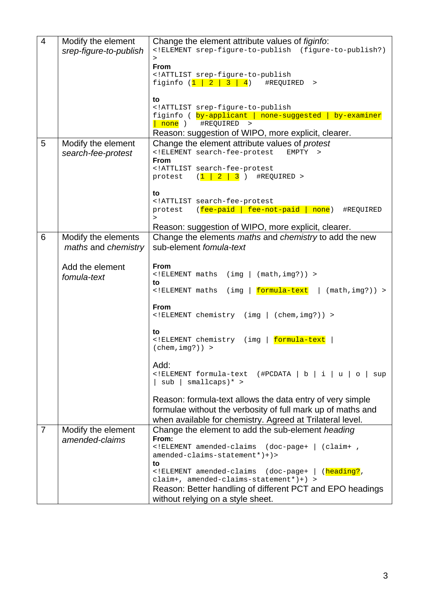| $\overline{4}$ | Modify the element     | Change the element attribute values of <i>figinfo</i> :                                       |
|----------------|------------------------|-----------------------------------------------------------------------------------------------|
|                | srep-figure-to-publish | ELEMENT srep-figure-to-publish (figure-to-publish?)</th                                       |
|                |                        | $\geq$                                                                                        |
|                |                        | <b>From</b><br>ATTLIST srep-figure-to-publish</th                                             |
|                |                        | figinfo $(1 \mid 2 \mid 3 \mid 4)$<br>#REQUIRED<br>$\, >$                                     |
|                |                        |                                                                                               |
|                |                        | to                                                                                            |
|                |                        | ATTLIST srep-figure-to-publish</th                                                            |
|                |                        | figinfo ( by-applicant   none-suggested   by-examiner                                         |
|                |                        | none )<br>#REQUIRED<br>$\rightarrow$                                                          |
|                |                        | Reason: suggestion of WIPO, more explicit, clearer.                                           |
| 5              | Modify the element     | Change the element attribute values of protest                                                |
|                | search-fee-protest     | ELEMENT search-fee-protest<br EMPTY<br>$\geq$<br><b>From</b>                                  |
|                |                        | ATTLIST search-fee-protest</th                                                                |
|                |                        | $(1 \ 2 \ 3)$<br>#REQUIRED ><br>protest                                                       |
|                |                        |                                                                                               |
|                |                        | to                                                                                            |
|                |                        | ATTLIST search-fee-protest</th                                                                |
|                |                        | (fee-paid   fee-not-paid   none)<br>#REQUIRED<br>protest<br>$\geq$                            |
|                |                        | Reason: suggestion of WIPO, more explicit, clearer.                                           |
| 6              | Modify the elements    | Change the elements maths and chemistry to add the new                                        |
|                | maths and chemistry    | sub-element fomula-text                                                                       |
|                |                        |                                                                                               |
|                | Add the element        | <b>From</b>                                                                                   |
|                | fomula-text            | ELEMENT maths<br $(img \mid (math, img?)$ ) >                                                 |
|                |                        | to                                                                                            |
|                |                        | formula-text<br>$\int \mathrm{Im} g$<br>$(\text{math}, \text{img?})$ ) ><br>ELEMENT maths</th |
|                |                        | <b>From</b>                                                                                   |
|                |                        | ELEMENT chemistry (img   (chem, img?))                                                        |
|                |                        |                                                                                               |
|                |                        | to                                                                                            |
|                |                        | (img   formula-text<br>ELEMENT chemistry</th                                                  |
|                |                        | $(char, img?)$ >                                                                              |
|                |                        | Add:                                                                                          |
|                |                        | ELEMENT formula-text<br (#PCDATA   b   i  <br>u<br>$\circ$<br>sup                             |
|                |                        | sub<br>$smallcaps)$ * >                                                                       |
|                |                        |                                                                                               |
|                |                        | Reason: formula-text allows the data entry of very simple                                     |
|                |                        | formulae without the verbosity of full mark up of maths and                                   |
|                |                        | when available for chemistry. Agreed at Trilateral level.                                     |
| $\overline{7}$ | Modify the element     | Change the element to add the sub-element heading                                             |
|                | amended-claims         | From:                                                                                         |
|                |                        | ELEMENT amended-claims (doc-page+   (claim+ ,</th                                             |
|                |                        | $amended-clains-statement*)+$                                                                 |
|                |                        | to<br>ELEMENT amended-claims (doc-page+   (heading?,</th                                      |
|                |                        | $claim+, amended-clains-statement*)+)$ >                                                      |
|                |                        | Reason: Better handling of different PCT and EPO headings                                     |
|                |                        | without relying on a style sheet.                                                             |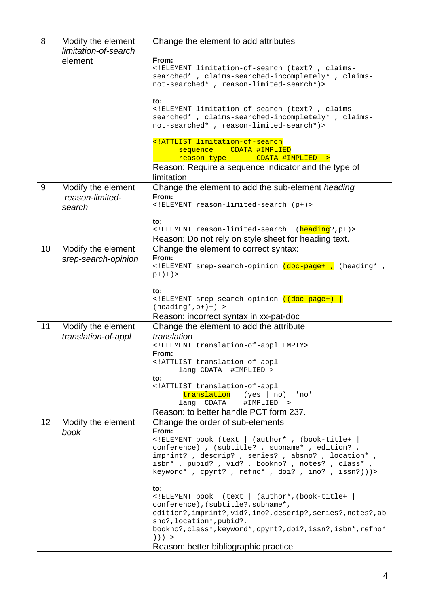| 8  | Modify the element<br>limitation-of-search      | Change the element to add attributes                                                                                                                                                                                                                                                                       |
|----|-------------------------------------------------|------------------------------------------------------------------------------------------------------------------------------------------------------------------------------------------------------------------------------------------------------------------------------------------------------------|
|    | element                                         | From:<br>ELEMENT limitation-of-search (text? , claims-<br searched* , claims-searched-incompletely* , claims-<br>not-searched*, reason-limited-search*)>                                                                                                                                                   |
|    |                                                 | to:<br>ELEMENT limitation-of-search (text? , claims-<br searched*, claims-searched-incompletely*, claims-<br>not-searched*, reason-limited-search*)>                                                                                                                                                       |
|    |                                                 | ATTLIST limitation-of-search<br CDATA #IMPLIED<br>sequence<br>CDATA #IMPLIED ><br>reason-type<br>Reason: Require a sequence indicator and the type of<br>limitation                                                                                                                                        |
| 9  | Modify the element<br>reason-limited-<br>search | Change the element to add the sub-element heading<br>From:<br>ELEMENT reason-limited-search (p+)                                                                                                                                                                                                           |
|    |                                                 | to:<br>ELEMENT reason-limited-search (heading?,p+)<br>Reason: Do not rely on style sheet for heading text.                                                                                                                                                                                                 |
| 10 | Modify the element<br>srep-search-opinion       | Change the element to correct syntax:<br>From:<br>ELEMENT srep-search-opinion (doc-page+ , (heading* ,<br $p+)+$ ) >                                                                                                                                                                                       |
|    |                                                 | to:<br>ELEMENT srep-search-opinion <mark ((doc-page+)  <br>$(heading*, p+)+) >$<br>Reason: incorrect syntax in xx-pat-doc                                                                                                                                                                                  |
| 11 | Modify the element<br>translation-of-appl       | Change the element to add the attribute<br>translation<br>ELEMENT translation-of-appl EMPTY<br>From:<br>ATTLIST translation-of-appl<br lang CDATA #IMPLIED >                                                                                                                                               |
|    |                                                 | to:<br>ATTLIST translation-of-appl<br translation (yes   no) 'no'<br>lang CDATA<br>#IMPLIED ><br>Reason: to better handle PCT form 237.                                                                                                                                                                    |
| 12 | Modify the element<br>book                      | Change the order of sub-elements<br>From:<br>ELEMENT book (text   (author*, (book-title+  <br conference) , (subtitle? , subname* , edition? ,<br>imprint?, descrip?, series?, absno?, location*,<br>isbn*, pubid?, vid?, bookno?, notes?, class*,<br>keyword*, cpyrt?, refno*, doi?, ino?, issn?)))>      |
|    |                                                 | to:<br>ELEMENT book (text   (author*, (book-title+<br conference), (subtitle?, subname*,<br>edition?, imprint?, vid?, ino?, descrip?, series?, notes?, ab<br>sno?, location*, pubid?,<br>bookno?, class*, keyword*, cpyrt?, doi?, issn?, isbn*, refno*<br>) ) ) ><br>Reason: better bibliographic practice |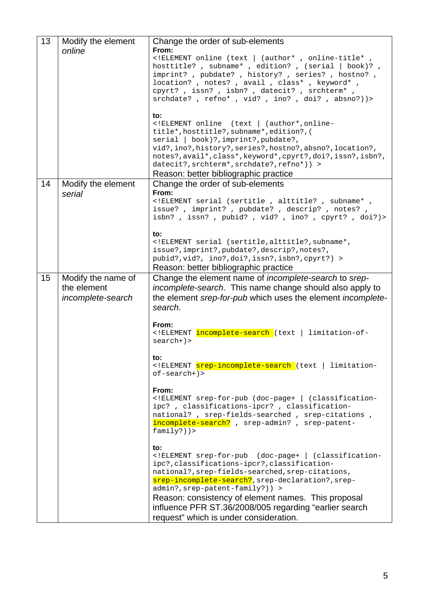| 13 | Modify the element<br>online                           | Change the order of sub-elements<br>From:<br>ELEMENT online (text   (author*, online-title*,<br hosttitle?, subname*, edition?, (serial   book)?,<br>imprint?, pubdate?, history?, series?, hostno?,<br>location? , notes? , avail , class* , keyword* ,<br>cpyrt?, issn?, isbn?, datecit?, srchterm*,<br>srchdate?, refno*, vid?, ino?, doi?, absno?))><br>to:<br>ELEMENT online (text   (author*, online-<br title*, hosttitle?, subname*, edition?, (<br>serial   book)?, imprint?, pubdate?,<br>vid?, ino?, history?, series?, hostno?, absno?, location?, |
|----|--------------------------------------------------------|----------------------------------------------------------------------------------------------------------------------------------------------------------------------------------------------------------------------------------------------------------------------------------------------------------------------------------------------------------------------------------------------------------------------------------------------------------------------------------------------------------------------------------------------------------------|
|    |                                                        | notes?, avail*, class*, keyword*, cpyrt?, doi?, issn?, isbn?,<br>datecit?, srchterm*, srchdate?, refno*)) ><br>Reason: better bibliographic practice                                                                                                                                                                                                                                                                                                                                                                                                           |
| 14 | Modify the element<br>serial                           | Change the order of sub-elements<br>From:<br>ELEMENT serial (sertitle, alttitle?, subname*,<br issue?, imprint?, pubdate?, descrip?, notes?,<br>isbn?, issn?, pubid?, vid?, ino?, cpyrt?, doi?)><br>to:<br>ELEMENT serial (sertitle, alttitle?, subname*,<br issue?, imprint?, pubdate?, descrip?, notes?,                                                                                                                                                                                                                                                     |
|    |                                                        | pubid?, vid?, ino?, doi?, issn?, isbn?, cpyrt?) ><br>Reason: better bibliographic practice                                                                                                                                                                                                                                                                                                                                                                                                                                                                     |
| 15 | Modify the name of<br>the element<br>incomplete-search | Change the element name of <i>incomplete-search</i> to srep-<br>incomplete-search. This name change should also apply to<br>the element srep-for-pub which uses the element incomplete-<br>search.<br>From:<br>ELEMENT incomplete-search (text   limitation-of-<br $search+)$                                                                                                                                                                                                                                                                                  |
|    |                                                        | το:<br>ELEMENT srep-incomplete-search (text   limitation-<br $of-search+)$                                                                                                                                                                                                                                                                                                                                                                                                                                                                                     |
|    |                                                        | From:<br>ELEMENT srep-for-pub (doc-page+   (classification-<br ipc?, classifications-ipcr?, classification-<br>national? , srep-fields-searched , srep-citations ,<br>incomplete-search? , srep-admin? , srep-patent-<br>$family?)$ )>                                                                                                                                                                                                                                                                                                                         |
|    |                                                        | to:<br>ELEMENT srep-for-pub (doc-page+   (classification-<br ipc?, classifications-ipcr?, classification-<br>national?, srep-fields-searched, srep-citations,<br>srep-incomplete-search?, srep-declaration?, srep-<br>admin?, srep-patent-family?)) ><br>Reason: consistency of element names. This proposal<br>influence PFR ST.36/2008/005 regarding "earlier search<br>request" which is under consideration.                                                                                                                                               |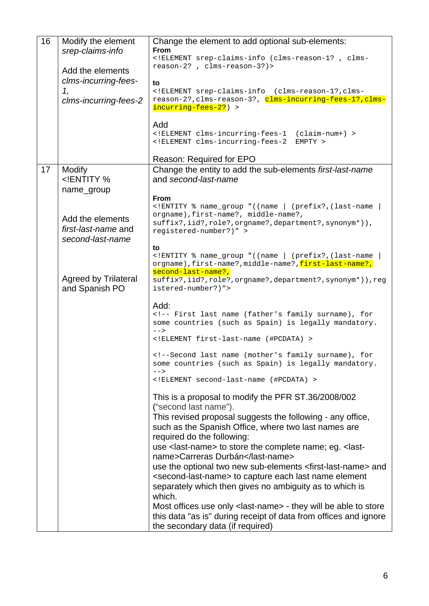| 16 | Modify the element<br>srep-claims-info                                                                             | Change the element to add optional sub-elements:<br><b>From</b>                                                                      |
|----|--------------------------------------------------------------------------------------------------------------------|--------------------------------------------------------------------------------------------------------------------------------------|
|    |                                                                                                                    | ELEMENT srep-claims-info (clms-reason-1?, clms-<br reason-2?, clms-reason-3?)>                                                       |
|    | Add the elements<br>clms-incurring-fees-                                                                           |                                                                                                                                      |
|    | 1,                                                                                                                 | to<br>ELEMENT srep-claims-info (clms-reason-1?, clms-</th                                                                            |
|    | clms-incurring-fees-2                                                                                              | reason-2?, clms-reason-3?, clms-incurring-fees-1?, clms-<br>incurring-fees-2?) >                                                     |
|    |                                                                                                                    |                                                                                                                                      |
|    |                                                                                                                    | Add<br>ELEMENT clms-incurring-fees-1 (claim-num+)                                                                                    |
|    |                                                                                                                    | ELEMENT clms-incurring-fees-2 EMPTY                                                                                                  |
|    |                                                                                                                    | Reason: Required for EPO                                                                                                             |
| 17 | Modify<br>ENTITY %</th <th>Change the entity to add the sub-elements first-last-name<br/>and second-last-name</th> | Change the entity to add the sub-elements first-last-name<br>and second-last-name                                                    |
|    | name_group                                                                                                         |                                                                                                                                      |
|    |                                                                                                                    | From                                                                                                                                 |
|    |                                                                                                                    | ENTITY % name_group "((name   (prefix?, (last-name<br orgname), first-name?, middle-name?,                                           |
|    | Add the elements                                                                                                   | suffix?, iid?, role?, orgname?, department?, synonym*)),                                                                             |
|    | first-last-name and<br>second-last-name                                                                            | registered-number?)" >                                                                                                               |
|    |                                                                                                                    | to                                                                                                                                   |
|    |                                                                                                                    | ENTITY % name_group "((name   (prefix?, (last-name<br orgname),first-name?,middle-name?,first-last-name?,                            |
|    | <b>Agreed by Trilateral</b><br>and Spanish PO                                                                      | second-last-name?,<br>suffix?, iid?, role?, orgname?, department?, synonym*) ), reg<br>istered-number?)">                            |
|    |                                                                                                                    | Add:                                                                                                                                 |
|    |                                                                                                                    | <!-- First last name (father's family surname), for<br>some countries (such as Spain) is legally mandatory.<br>$--$                  |
|    |                                                                                                                    | ELEMENT first-last-name (#PCDATA)                                                                                                    |
|    |                                                                                                                    | <!--Second last name (mother's family surname), for<br>some countries (such as Spain) is legally mandatory.<br>$--&>$                |
|    |                                                                                                                    | ELEMENT second-last-name (#PCDATA)                                                                                                   |
|    |                                                                                                                    | This is a proposal to modify the PFR ST.36/2008/002<br>("second last name").                                                         |
|    |                                                                                                                    | This revised proposal suggests the following - any office,                                                                           |
|    |                                                                                                                    | such as the Spanish Office, where two last names are                                                                                 |
|    |                                                                                                                    | required do the following:                                                                                                           |
|    |                                                                                                                    | use <last-name> to store the complete name; eg. <last-<br>name&gt;Carreras Durbán</last-<br></last-name>                             |
|    |                                                                                                                    | use the optional two new sub-elements <first-last-name> and</first-last-name>                                                        |
|    |                                                                                                                    | <second-last-name> to capture each last name element</second-last-name>                                                              |
|    |                                                                                                                    | separately which then gives no ambiguity as to which is                                                                              |
|    |                                                                                                                    | which.                                                                                                                               |
|    |                                                                                                                    | Most offices use only < last-name > - they will be able to store<br>this data "as is" during receipt of data from offices and ignore |
|    |                                                                                                                    | the secondary data (if required)                                                                                                     |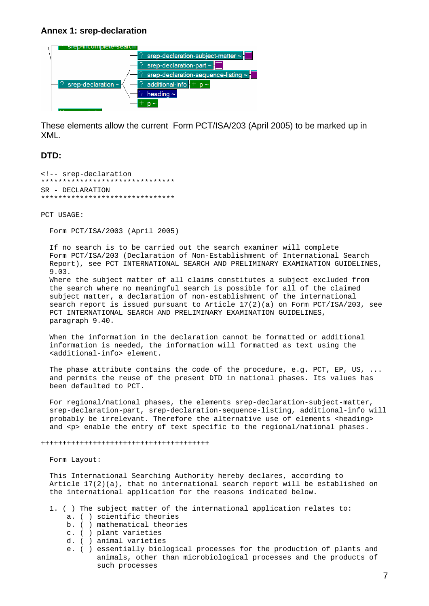## **Annex 1: srep-declaration**



These elements allow the current Form PCT/ISA/203 (April 2005) to be marked up in XML.

## **DTD:**

<!-- srep-declaration \*\*\*\*\*\*\*\*\*\*\*\*\*\*\*\*\*\*\*\*\*\*\*\*\*\*\*\*\*\*\*  $SR - DECTJARATTON$ \*\*\*\*\*\*\*\*\*\*\*\*\*\*\*\*\*\*\*\*\*\*\*\*\*\*\*\*\*\*\*

PCT USAGE:

Form PCT/ISA/2003 (April 2005)

 If no search is to be carried out the search examiner will complete Form PCT/ISA/203 (Declaration of Non-Establishment of International Search Report), see PCT INTERNATIONAL SEARCH AND PRELIMINARY EXAMINATION GUIDELINES, 9.03.

 Where the subject matter of all claims constitutes a subject excluded from the search where no meaningful search is possible for all of the claimed subject matter, a declaration of non-establishment of the international search report is issued pursuant to Article 17(2)(a) on Form PCT/ISA/203, see PCT INTERNATIONAL SEARCH AND PRELIMINARY EXAMINATION GUIDELINES, paragraph 9.40.

 When the information in the declaration cannot be formatted or additional information is needed, the information will formatted as text using the <additional-info> element.

The phase attribute contains the code of the procedure, e.g. PCT, EP, US,  $\dots$  and permits the reuse of the present DTD in national phases. Its values has been defaulted to PCT.

 For regional/national phases, the elements srep-declaration-subject-matter, srep-declaration-part, srep-declaration-sequence-listing, additional-info will probably be irrelevant. Therefore the alternative use of elements <heading> and <p> enable the entry of text specific to the regional/national phases.

+++++++++++++++++++++++++++++++++++++++

Form Layout:

 This International Searching Authority hereby declares, according to Article 17(2)(a), that no international search report will be established on the international application for the reasons indicated below.

- 1. ( ) The subject matter of the international application relates to:
	- a. ( ) scientific theories
	- b. ( ) mathematical theories
	- c. ( ) plant varieties
	- d. ( ) animal varieties
	- e. ( ) essentially biological processes for the production of plants and animals, other than microbiological processes and the products of such processes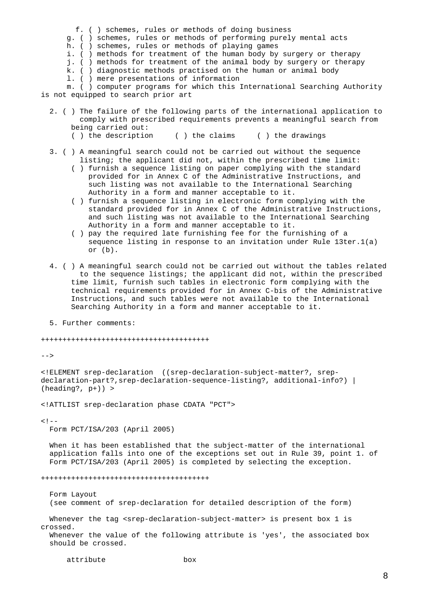- f. ( ) schemes, rules or methods of doing business
- g. ( ) schemes, rules or methods of performing purely mental acts
- h. ( ) schemes, rules or methods of playing games
- i. ( ) methods for treatment of the human body by surgery or therapy
- j. ( ) methods for treatment of the animal body by surgery or therapy
- k. ( ) diagnostic methods practised on the human or animal body
- l. ( ) mere presentations of information

 m. ( ) computer programs for which this International Searching Authority is not equipped to search prior art

- 2. ( ) The failure of the following parts of the international application to comply with prescribed requirements prevents a meaningful search from being carried out:
	- ( ) the description ( ) the claims ( ) the drawings
- 3. ( ) A meaningful search could not be carried out without the sequence listing; the applicant did not, within the prescribed time limit:
	- ( ) furnish a sequence listing on paper complying with the standard provided for in Annex C of the Administrative Instructions, and such listing was not available to the International Searching Authority in a form and manner acceptable to it.
	- ( ) furnish a sequence listing in electronic form complying with the standard provided for in Annex C of the Administrative Instructions, and such listing was not available to the International Searching Authority in a form and manner acceptable to it.
	- ( ) pay the required late furnishing fee for the furnishing of a sequence listing in response to an invitation under Rule 13ter.1(a) or (b).
- 4. ( ) A meaningful search could not be carried out without the tables related to the sequence listings; the applicant did not, within the prescribed time limit, furnish such tables in electronic form complying with the technical requirements provided for in Annex C-bis of the Administrative Instructions, and such tables were not available to the International Searching Authority in a form and manner acceptable to it.
- 5. Further comments:

+++++++++++++++++++++++++++++++++++++++

 $--&>$ 

<!ELEMENT srep-declaration ((srep-declaration-subject-matter?, srepdeclaration-part?,srep-declaration-sequence-listing?, additional-info?) | (heading?, p+)) >

<!ATTLIST srep-declaration phase CDATA "PCT">

 $<$ ! $-$ 

Form PCT/ISA/203 (April 2005)

 When it has been established that the subject-matter of the international application falls into one of the exceptions set out in Rule 39, point 1. of Form PCT/ISA/203 (April 2005) is completed by selecting the exception.

+++++++++++++++++++++++++++++++++++++++

 Form Layout (see comment of srep-declaration for detailed description of the form)

Whenever the tag <srep-declaration-subject-matter> is present box 1 is crossed.

 Whenever the value of the following attribute is 'yes', the associated box should be crossed.

attribute box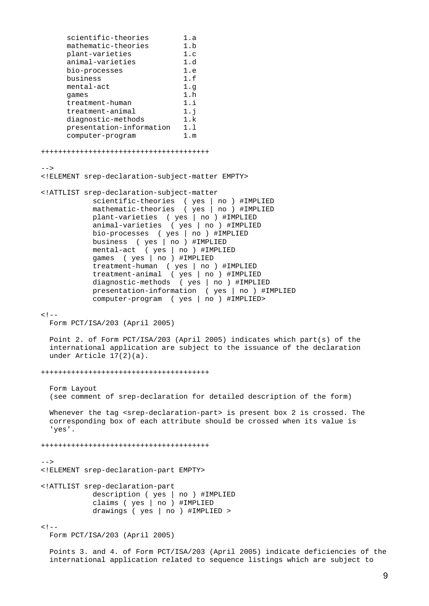```
scientific-theories 1.a
     mathematic-theories 1.b
      plant-varieties 1.c 
      animal-varieties 1.d 
      bio-processes 1.e 
      business 1.f 
     mental-act 1.g
      games 1.h 
     treatment-human 1.i
     treatment-animal 1.j
     diagnostic-methods 1.k
      presentation-information 1.l 
      computer-program 1.m 
+++++++++++++++++++++++++++++++++++++++ 
--<!ELEMENT srep-declaration-subject-matter EMPTY> 
<!ATTLIST srep-declaration-subject-matter 
            scientific-theories ( yes | no ) #IMPLIED 
           mathematic-theories ( yes | no ) #IMPLIED
            plant-varieties ( yes | no ) #IMPLIED 
           animal-varieties ( yes | no ) #IMPLIED
            bio-processes ( yes | no ) #IMPLIED 
            business ( yes | no ) #IMPLIED 
            mental-act ( yes | no ) #IMPLIED 
            games ( yes | no ) #IMPLIED 
 treatment-human ( yes | no ) #IMPLIED 
 treatment-animal ( yes | no ) #IMPLIED 
            diagnostic-methods ( yes | no ) #IMPLIED 
            presentation-information ( yes | no ) #IMPLIED 
            computer-program ( yes | no ) #IMPLIED> 
< 1 - - Form PCT/ISA/203 (April 2005) 
  Point 2. of Form PCT/ISA/203 (April 2005) indicates which part(s) of the 
  international application are subject to the issuance of the declaration 
  under Article 17(2)(a). 
+++++++++++++++++++++++++++++++++++++++ 
  Form Layout 
  (see comment of srep-declaration for detailed description of the form) 
 Whenever the tag <srep-declaration-part> is present box 2 is crossed. The
  corresponding box of each attribute should be crossed when its value is 
   'yes'. 
+++++++++++++++++++++++++++++++++++++++ 
--<!ELEMENT srep-declaration-part EMPTY> 
<!ATTLIST srep-declaration-part 
            description ( yes | no ) #IMPLIED 
            claims ( yes | no ) #IMPLIED 
            drawings ( yes | no ) #IMPLIED > 
< ! - - Form PCT/ISA/203 (April 2005)
```
 Points 3. and 4. of Form PCT/ISA/203 (April 2005) indicate deficiencies of the international application related to sequence listings which are subject to